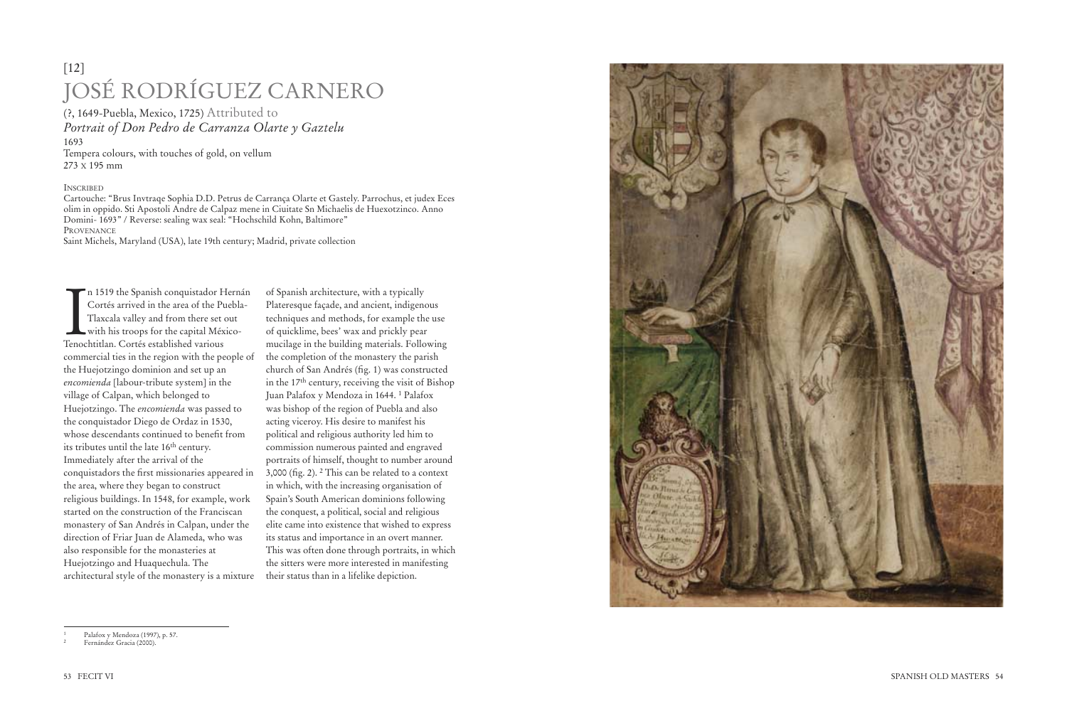n 1519<br>Cortés<br>Tlaxca<br>With h<br>Tenochtitlan<br>commercial i<br>the Huejotzi<br>*encomienda*<br>village of Ca<br>Huejotzingo<br>the conquistado:<br>Inmediately<br>conquistado:<br>the area, whe<br>religious bui<br>started on th<br>monastery of<br>direction of also r n 1519 the Spanish conquistador Hernán Cortés arrived in the area of the Puebla-Tlaxcala valley and from there set out with his troops for the capital México-Tenochtitlan. Cortés established various commercial ties in the region with the people of the Huejotzingo dominion and set up an *encomienda* [labour-tribute system] in the village of Calpan, which belonged to Huejotzingo. The *encomienda* was passed to the conquistador Diego de Ordaz in 1530, whose descendants continued to benefit from its tributes until the late 16th century. Immediately after the arrival of the conquistadors the first missionaries appeared in the area, where they began to construct religious buildings. In 1548, for example, work started on the construction of the Franciscan monastery of San Andrés in Calpan, under the direction of Friar Juan de Alameda, who was also responsible for the monasteries at Huejotzingo and Huaquechula. The architectural style of the monastery is a mixture

of Spanish architecture, with a typically Plateresque façade, and ancient, indigenous techniques and methods, for example the use of quicklime, bees' wax and prickly pear mucilage in the building materials. Following the completion of the monastery the parish church of San Andrés (fig. 1) was constructed in the  $17<sup>th</sup>$  century, receiving the visit of Bishop Juan Palafox y Mendoza in 1644.<sup>1</sup> Palafox was bishop of the region of Puebla and also acting viceroy. His desire to manifest his political and religious authority led him to commission numerous painted and engraved portraits of himself, thought to number around 3,000 (fig. 2).  $2$  This can be related to a context in which, with the increasing organisation of Spain's South American dominions following the conquest, a political, social and religious elite came into existence that wished to express its status and importance in an overt manner. This was often done through portraits, in which the sitters were more interested in manifesting their status than in a lifelike depiction.



## [12] JOSÉ RODRÍGUEZ CARNERO

(?, 1649-Puebla, Mexico, 1725) Attributed to *Portrait of Don Pedro de Carranza Olarte y Gaztelu* 1693 Tempera colours, with touches of gold, on vellum 273 X 195 mm

## **INSCRIBED**

Cartouche: "Brus Invtraqe Sophia D.D. Petrus de Carrança Olarte et Gastely. Parrochus, et judex Eces olim in oppido. Sti Apostoli Andre de Calpaz mene in Ciuitate Sn Michaelis de Huexotzinco. Anno Domini- 1693" / Reverse: sealing wax seal: "Hochschild Kohn, Baltimore" PROVENANCE

Saint Michels, Maryland (USA), late 19th century; Madrid, private collection

<sup>1</sup> Palafox y Mendoza (1997), p. 57.

Fernández Gracia (2000).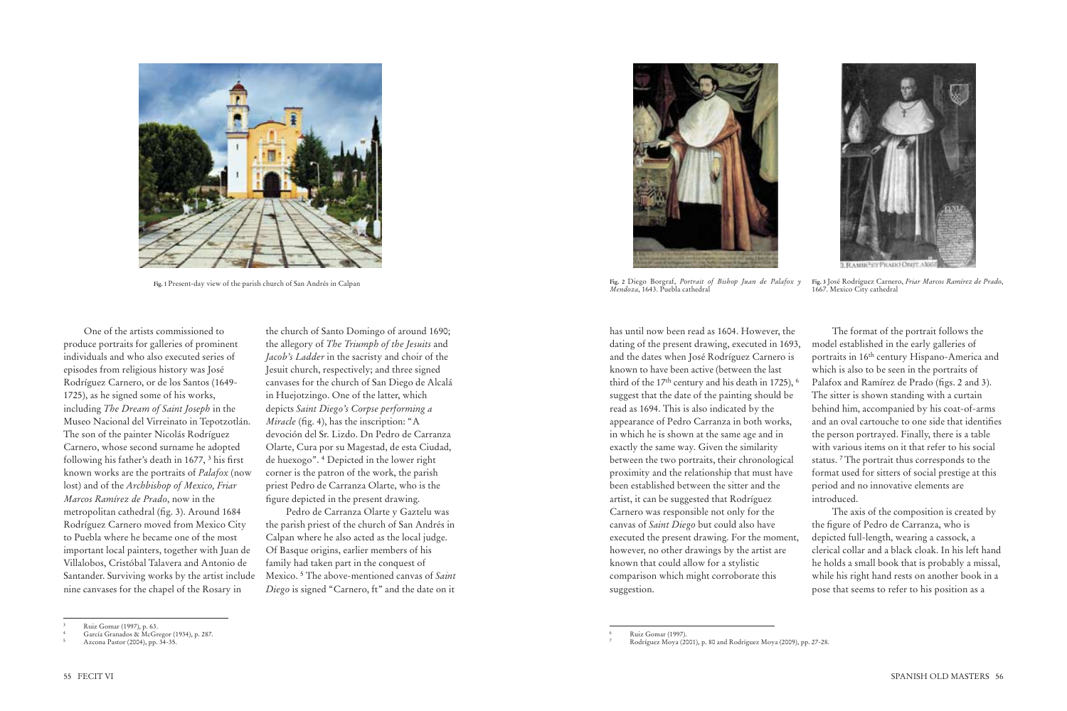One of the artists commissioned to produce portraits for galleries of prominent individuals and who also executed series of episodes from religious history was José Rodríguez Carnero, or de los Santos (1649- 1725), as he signed some of his works, including *The Dream of Saint Joseph* in the Museo Nacional del Virreinato in Tepotzotlán. The son of the painter Nicolás Rodríguez Carnero, whose second surname he adopted following his father's death in 1677, <sup>3</sup> his first known works are the portraits of *Palafox* (now lost) and of the *Archbishop of Mexico, Friar Marcos Ramírez de Prado*, now in the metropolitan cathedral (fig. 3). Around 1684 Rodríguez Carnero moved from Mexico City to Puebla where he became one of the most important local painters, together with Juan de Villalobos, Cristóbal Talavera and Antonio de Santander. Surviving works by the artist include nine canvases for the chapel of the Rosary in

the church of Santo Domingo of around 1690; the allegory of *The Triumph of the Jesuits* and *Jacob's Ladder* in the sacristy and choir of the Jesuit church, respectively; and three signed canvases for the church of San Diego de Alcalá in Huejotzingo. One of the latter, which depicts *Saint Diego's Corpse performing a Miracle* (fig. 4), has the inscription: "A devoción del Sr. Lizdo. Dn Pedro de Carranza Olarte, Cura por su Magestad, de esta Ciudad, de huexogo". <sup>4</sup> Depicted in the lower right corner is the patron of the work, the parish priest Pedro de Carranza Olarte, who is the figure depicted in the present drawing.

Pedro de Carranza Olarte y Gaztelu was the parish priest of the church of San Andrés in Calpan where he also acted as the local judge. Of Basque origins, earlier members of his family had taken part in the conquest of Mexico. <sup>5</sup> The above-mentioned canvas of *Saint Diego* is signed "Carnero, ft" and the date on it



**Fig. 1** Present-day view of the parish church of San Andrés in Calpan

has until now been read as 1604. However, the dating of the present drawing, executed in 1693, and the dates when José Rodríguez Carnero is known to have been active (between the last third of the  $17<sup>th</sup>$  century and his death in 1725),  $<sup>6</sup>$ </sup> suggest that the date of the painting should be read as 1694. This is also indicated by the appearance of Pedro Carranza in both works, in which he is shown at the same age and in exactly the same way. Given the similarity between the two portraits, their chronological proximity and the relationship that must have been established between the sitter and the artist, it can be suggested that Rodríguez Carnero was responsible not only for the canvas of *Saint Diego* but could also have executed the present drawing. For the moment, however, no other drawings by the artist are known that could allow for a stylistic comparison which might corroborate this suggestion.

The format of the portrait follows the model established in the early galleries of portraits in 16th century Hispano-America and which is also to be seen in the portraits of Palafox and Ramírez de Prado (figs. 2 and 3). The sitter is shown standing with a curtain behind him, accompanied by his coat-of-arms and an oval cartouche to one side that identifies the person portrayed. Finally, there is a table with various items on it that refer to his social status. <sup>7</sup>The portrait thus corresponds to the format used for sitters of social prestige at this period and no innovative elements are introduced.

The axis of the composition is created by the figure of Pedro de Carranza, who is depicted full-length, wearing a cassock, a clerical collar and a black cloak. In his left hand he holds a small book that is probably a missal, while his right hand rests on another book in a pose that seems to refer to his position as a



**Fig. 2** Diego Borgraf, *Portrait of Bishop Juan de Palafox y Mendoza*, 1643. Puebla cathedral



**Fig. 3** José Rodríguez Carnero, *Friar Marcos Ramírez de Prado*, 1667. Mexico City cathedral

<sup>3</sup> Ruiz Gomar (1997), p. 63.

<sup>4</sup> García Granados & McGregor (1934), p. 287.

<sup>5</sup> Azcona Pastor (2004), pp. 34-35.

<sup>6</sup> Ruiz Gomar (1997).

<sup>7</sup> Rodríguez Moya (2001), p. 80 and Rodríguez Moya (2009), pp. 27-28.